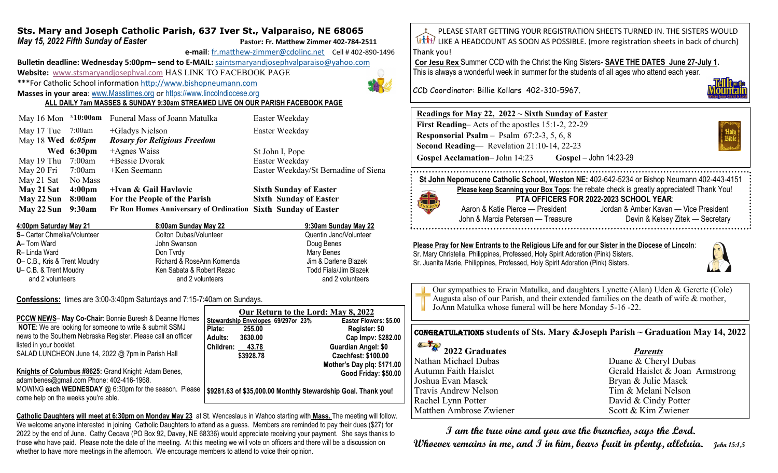### **Sts. Mary and Joseph Catholic Parish, 637 Iver St., Valparaiso, NE 68065** *May 15, 2022 Fifth Sunday of Easter* **Pastor: Pastor: Fr. Matthew Zimmer 402-784-2511**

**e-mail**: fr.matthew-[zimmer@cdolinc.net](mailto:fr.matthew-zimmer@cdolinc.net) Cell # 402-890-1496

**Bulletin deadline: Wednesday 5:00pm– send to E-MAIL:** [saintsmaryandjosephvalparaiso@yahoo.com](mailto:saintsmaryandjosephvalparaiso@yahoo.com) **Website:** [www.stsmaryandjosephval.com](http://www.stsmaryandjosephval.com/) HAS LINK TO FACEBOOK PAGE \*\*\*For Catholic School information [http://www.bishopneumann.com](http://www.bishopneuman.com)

**Masses in your area**: [www.Masstimes.org](file:///J:/Users/Sts.%20Mary%20and%20Josep/AppData/Local/Microsoft/Windows/Temporary%20Internet%20Files/Low/Content.IE5/12ZL2H74/www.Masstimes.org) or [https://www.lincolndiocese.org](https://www.lincolndiocese.org/easterrural)

**ALL DAILY 7am MASSES & SUNDAY 9:30am STREAMED LIVE ON OUR PARISH FACEBOOK PAGE**

|                                          |                    | May 16 Mon *10:00am Funeral Mass of Joann Matulka             | Easter Weekday                       |
|------------------------------------------|--------------------|---------------------------------------------------------------|--------------------------------------|
| May 17 Tue 7:00am<br>May 18 Wed $6:05pm$ |                    | +Gladys Nielson<br><b>Rosary for Religious Freedom</b>        | Easter Weekday                       |
|                                          | Wed 6:30pm         | $+A$ gnes Waiss                                               | St John I, Pope                      |
| May 19 Thu 7:00am                        |                    | +Bessie Dvorak                                                | Easter Weekday                       |
| May 20 Fri                               | 7:00am             | $+$ Ken Seemann                                               | Easter Weekday/St Bernadine of Siena |
| May 21 Sat                               | No Mass            |                                                               |                                      |
| May 21 Sat                               | 4:00 <sub>pm</sub> | +Ivan & Gail Havlovic                                         | <b>Sixth Sunday of Easter</b>        |
| May 22 Sun                               | 8:00am             | For the People of the Parish                                  | <b>Sixth Sunday of Easter</b>        |
| May 22 Sun                               | 9:30am             | Fr Ron Homes Anniversary of Ordination Sixth Sunday of Easter |                                      |

| 4:00pm Saturday May 21               | 8:00am Sunday May 22      | 9:30am Sunday May 22   |
|--------------------------------------|---------------------------|------------------------|
| S- Carter Chmelka/Volunteer          | Colton Dubas/Volunteer    | Quentin Jano/Volunteer |
| <b>A</b> – Tom Ward                  | John Swanson              | Doug Benes             |
| <b>R</b> -Linda Ward                 | Don Tyrdy                 | Mary Benes             |
| <b>O</b> - C.B., Kris & Trent Moudry | Richard & RoseAnn Komenda | Jim & Darlene Blazek   |
| U- C.B. & Trent Moudry               | Ken Sabata & Robert Rezac | Todd Fiala/Jim Blazek  |
| and 2 volunteers                     | and 2 volunteers          | and 2 volunteers       |

**Confessions:** times are 3:00-3:40pm Saturdays and 7:15-7:40am on Sundays.

|                                                                  | Our Return to the Lord: May 8, 2022                           |           |                                    |                            |
|------------------------------------------------------------------|---------------------------------------------------------------|-----------|------------------------------------|----------------------------|
| <b>PCCW NEWS- May Co-Chair: Bonnie Buresh &amp; Deanne Homes</b> |                                                               |           | Stewardship Envelopes 69/297or 23% | Easter Flowers: \$5.00     |
| <b>NOTE:</b> We are looking for someone to write & submit SSMJ   | Plate:                                                        | 255.00    |                                    | Register: \$0              |
| news to the Southern Nebraska Register. Please call an officer   | Adults:                                                       | 3630.00   |                                    | Cap Impv: \$282.00         |
| listed in your booklet.                                          | Children:                                                     | 43.78     |                                    | <b>Guardian Angel: \$0</b> |
| SALAD LUNCHEON June 14, 2022 @ 7pm in Parish Hall                |                                                               | \$3928.78 |                                    | <b>Czechfest: \$100.00</b> |
|                                                                  |                                                               |           |                                    | Mother's Day plq: \$171.00 |
| Knights of Columbus #8625: Grand Knight: Adam Benes,             |                                                               |           |                                    | Good Friday: \$50.00       |
| adamIbenes@gmail.com Phone: 402-416-1968.                        |                                                               |           |                                    |                            |
| MOWING each WEDNESDAY @ 6:30pm for the season. Please            | \$9281.63 of \$35,000.00 Monthly Stewardship Goal. Thank you! |           |                                    |                            |
| come help on the weeks you're able.                              |                                                               |           |                                    |                            |

**Catholic Daughters will meet at 6:30pm on Monday May 23** at St. Wenceslaus in Wahoo starting with **Mass.** The meeting will follow. We welcome anyone interested in joining Catholic Daughters to attend as a guess. Members are reminded to pay their dues (\$27) for 2022 by the end of June. Cathy Cecava (PO Box 92, Davey, NE 68336) would appreciate receiving your payment. She says thanks to those who have paid. Please note the date of the meeting. At this meeting we will vote on officers and there will be a discussion on whether to have more meetings in the afternoon. We encourage members to attend to voice their opinion.

PLEASE START GETTING YOUR REGISTRATION SHEETS TURNED IN. THE SISTERS WOULD LIKE A HEADCOUNT AS SOON AS POSSIBLE. (more registration sheets in back of church) Thank you!

**Cor Jesu Rex** Summer CCD with the Christ the King Sisters- **SAVE THE DATES June 27-July 1.**  This is always a wonderful week in summer for the students of all ages who attend each year.

CCD Coordinator: Billie Kollars 402-310-5967.

# **Readings for May 22, 2022 ~ Sixth Sunday of Easter**

**First Reading**– Acts of the apostles 15:1-2, 22-29 **Responsorial Psalm** – Psalm 67:2-3, 5, 6, 8 **Second Reading**— Revelation 21:10-14, 22-23 **Gospel Acclamation**– John 14:23 **Gospel** – John 14:23-29



**St John Nepomucene Catholic School, Weston NE:** 402-642-5234 or Bishop Neumann 402-443-4151



**Please keep Scanning your Box Tops**: the rebate check is greatly appreciated! Thank You! **PTA OFFICERS FOR 2022-2023 SCHOOL YEAR**: Aaron & Katie Pierce — President Jordan & Amber Kavan — Vice President John & Marcia Petersen — Treasure Devin & Kelsey Zitek — Secretary 

#### **Please Pray for New Entrants to the Religious Life and for our Sister in the Diocese of Lincoln**:

Sr. Mary Christella, Philippines, Professed, Holy Spirit Adoration (Pink) Sisters. Sr. Juanita Marie, Philippines, Professed, Holy Spirit Adoration (Pink) Sisters.



Our sympathies to Erwin Matulka, and daughters Lynette (Alan) Uden & Gerette (Cole) Augusta also of our Parish, and their extended families on the death of wife & mother, JoAnn Matulka whose funeral will be here Monday 5-16 -22.

## Congratulations **students of Sts. Mary &Joseph Parish ~ Graduation May 14, 2022**

| $\overset{\circ}{\bullet}$ $\overset{\bullet}{\bullet}$ 2022 Graduates |  |
|------------------------------------------------------------------------|--|
| Nathan Michael Dubas                                                   |  |
| Autumn Faith Haislet                                                   |  |
| Joshua Evan Masek                                                      |  |
| Travis Andrew Nelson                                                   |  |
| Rachel Lynn Potter                                                     |  |
| Matthen Ambrose Zwiener                                                |  |
|                                                                        |  |

#### *Parents*

Duane & Cheryl Dubas Gerald Haislet & Joan Armstrong Bryan & Julie Masek Tim & Melani Nelson David & Cindy Potter Scott & Kim Zwiener

 **I am the true vine and you are the branches, says the Lord. Whoever remains in me, and I in him, bears fruit in plenty, alleluia. John 15:1,5**